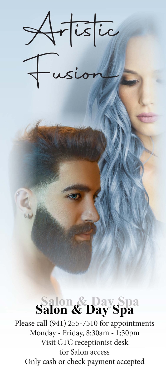

Salon & Day Spa Please call (941) 255-7510 for appointments Monday - Friday, 8:30am - 1:30pm Visit CTC receptionist desk for Salon access Only cash or check payment accepted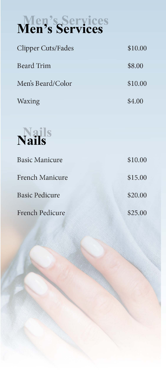Basic Manicure

## Men's Services

| <b>Clipper Cuts/Fades</b> | \$10.00 |
|---------------------------|---------|
| <b>Beard Trim</b>         | \$8.00  |
| Men's Beard/Color         | \$10.00 |
| Waxing                    | \$4.00  |

Noile



French Manicure

Basic Pedicure

French Pedicure

\$10.00 \$15.00 \$20.00 \$25.00



•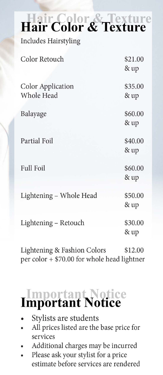Includes Hairstyling

Color Retouch

Color Application Whole Head

Balayage

#### $\frac{1}{2}$ ture **exture**

\$21.00 &up

\$35.00 &up



per color  $+$  \$70.00 for whole head lightner

## Important Notice

\$60.00 &up

- Stylists are students
- All prices listed are the base price for *services*
- Additional charges may be incurred
- Please ask your stylist for a price estimate before services are rendered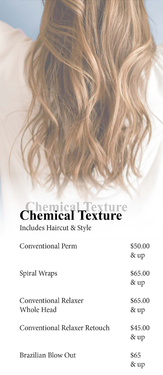

# **Chemical Texture**

Includes Haircut & Style

**Conventional Perm** 

\$50.00 & up

Spiral Wraps

\$65.00 & up

#### Conventional Relaxer Whole Head

\$65.00 & up

Conventional Relaxer Retouch

\$45.00 & up

**Brazilian Blow Out** 

\$65 & up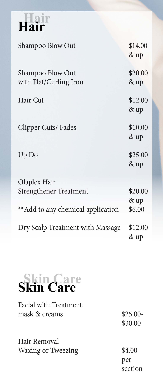## • • **air**

Shampoo Blow Out

#### Shampoo Blow Out with Flat/Curling Iron

Olaplex Hair Strengthener Treatment \$20.00

Hair Cut

Clipper Cuts/ Fades

#### Up Do

&up \*\* Add to any chemical application  $$6.00$ 

\$14.00 &up

\$20.00 &up

Dry Scalp Treatment with Massage \$12.00 &up

\$12.00 &up

\$10.00

\$25.00 &up

### • • **ID**

#### Facial with Treatment mask & creams

Hair Removal Waxing or Tweezing

\$25.00- \$30.00

\$4.00 per section